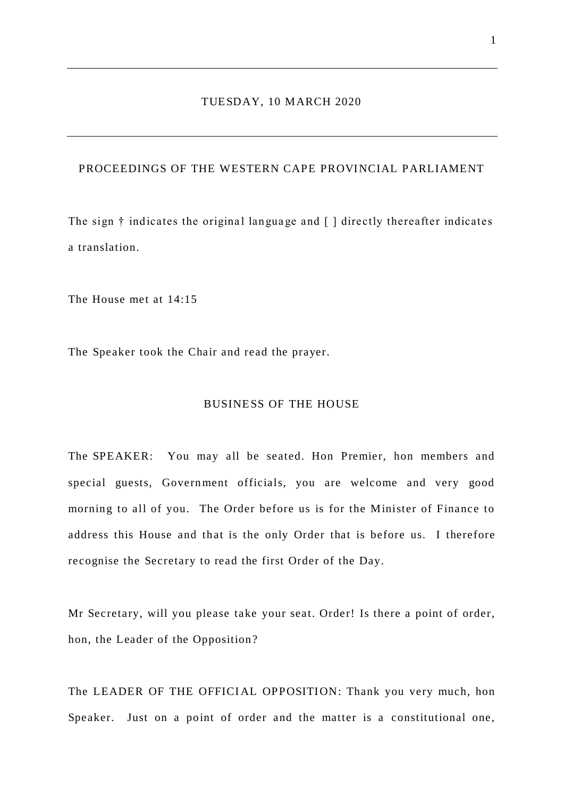# TUE SDAY, 10 MARCH 2020

# PROCEEDINGS OF THE WESTERN CAPE PROVINCIAL PARLIAMENT

The sign  $\dagger$  indicates the original language and  $\lceil \cdot \rceil$  directly thereafter indicates a translation.

The House met at 14:15

The Speaker took the Chair and read the prayer.

# BUSINE SS OF THE HOUSE

The SPEAKER: You may all be seated. Hon Premier, hon members and special guests, Government officials, you are welcome and very good morning to all of you. The Order before us is for the Minister of Finance to address this House and that is the only Order that is before us. I therefore recognise the Secretary to read the first Order of the Day.

Mr Secretary, will you please take your seat. Order! Is there a point of order, hon, the Leader of the Opposition?

The LEADER OF THE OFFICIAL OPPOSITION: Thank you very much, hon Speaker. Just on a point of order and the matter is a constitutional one,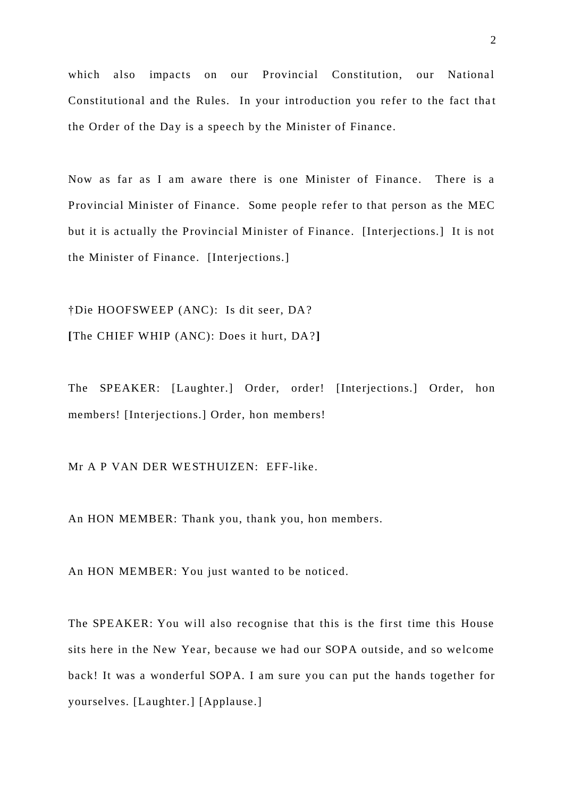which also impacts on our Provincial Constitution, our National Constitutional and the Rules. In your introduction you refer to the fact that the Order of the Day is a speech by the Minister of Finance.

Now as far as I am aware there is one Minister of Finance. There is a Provincial Minister of Finance. Some people refer to that person as the MEC but it is actually the Provincial Minister of Finance. [Interjections.] It is not the Minister of Finance. [Interjections.]

†Die HOOFSWEEP (ANC): Is dit seer, DA? **[**The CHIEF WHIP (ANC): Does it hurt, DA? **]**

The SPEAKER: [Laughter.] Order, order! [Interjections.] Order, hon members! [Interjec tions.] Order, hon members!

Mr A P VAN DER WESTHUIZEN: EFF-like.

An HON MEMBER: Thank you, thank you, hon members.

An HON MEMBER: You just wanted to be noticed.

The SPEAKER: You will also recognise that this is the first time this House sits here in the New Year, because we had our SOPA outside, and so we lcome back! It was a wonderful SOPA. I am sure you can put the hands together for yourselves. [Laughter.] [Applause.]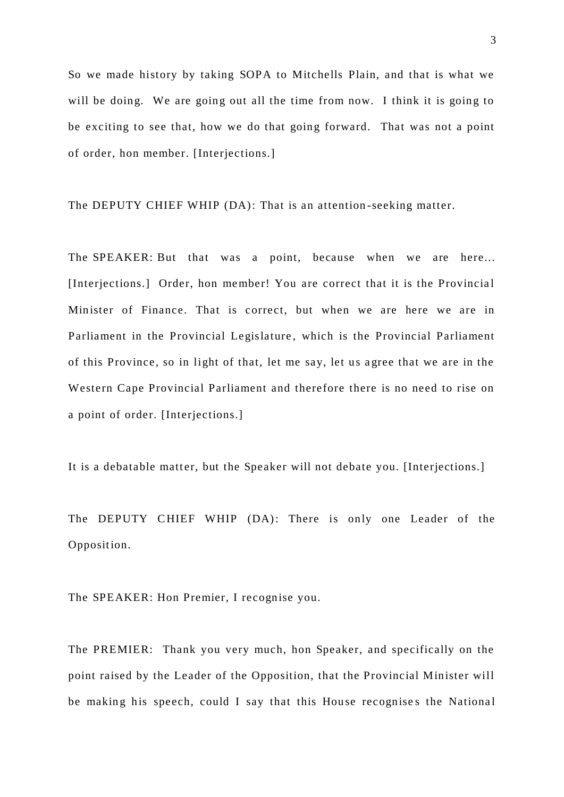So we made history by taking SOPA to Mitchells Plain, and that is what we will be doing. We are going out all the time from now. I think it is going to be exciting to see that, how we do that going forward. That was not a point of order, hon member. [Interjections.]

The DEPUTY CHIEF WHIP (DA): That is an attention-seeking matter.

The SPEAKER: But that was a point, because when we are here... [Interjections.] Order, hon member! You are correct that it is the Provincial Minister of Finance. That is correct, but when we are here we are in Parliament in the Provincial Legislature, which is the Provincial Parliament of this Province, so in light of that, let me say, let us a gree that we are in the Western Cape Provincial Parliament and therefore there is no need to rise on a point of order. [Interjections.]

It is a debatable matter, but the Speaker will not debate you. [Interjections.]

The DEPUTY CHIEF WHIP (DA): There is only one Leader of the Opposit ion.

The SPEAKER: Hon Premier, I recognise you.

The PREMIER: Thank you very much, hon Speaker, and specifically on the point raised by the Leader of the Opposition, that the Provincial Minister will be making his speech, could I say that this House recognises the National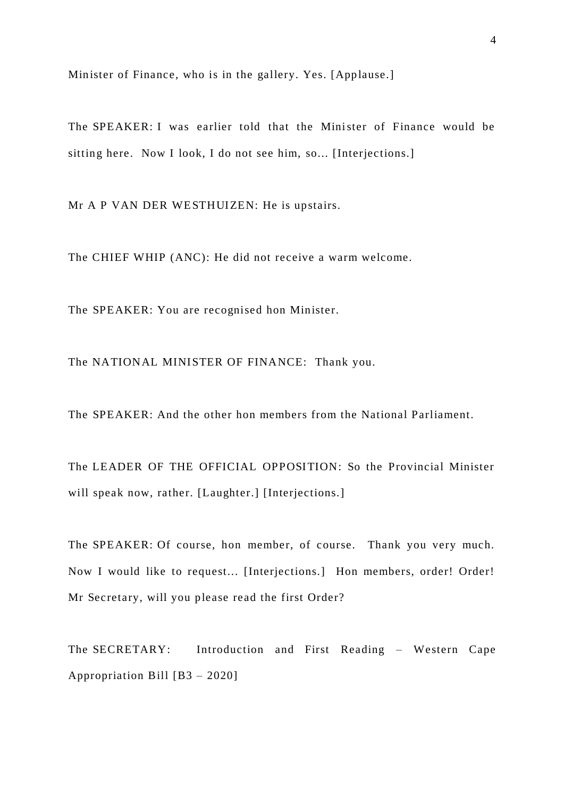Minister of Finance, who is in the gallery. Yes. [Applause.]

The SPEAKER: I was earlier told that the Minister of Finance would be sitting here. Now I look, I do not see him, so... [Interjections.]

Mr A P VAN DER WESTHUIZEN: He is upstairs.

The CHIEF WHIP (ANC): He did not receive a warm welcome.

The SPEAKER: You are recognised hon Minister.

The NATIONAL MINISTER OF FINANCE: Thank you.

The SPEAKER: And the other hon members from the National Parliament.

The LEADER OF THE OFFICIAL OPPOSITION: So the Provincial Minister will speak now, rather. [Laughter.] [Interjections.]

The SPEAKER: Of course, hon member, of course. Thank you very much. Now I would like to request... [Interjections.] Hon members, order! Order! Mr Secretary, will you please read the first Order?

The SECRETARY: Introduction and First Reading – Western Cape Appropriation Bill [B3 – 2020]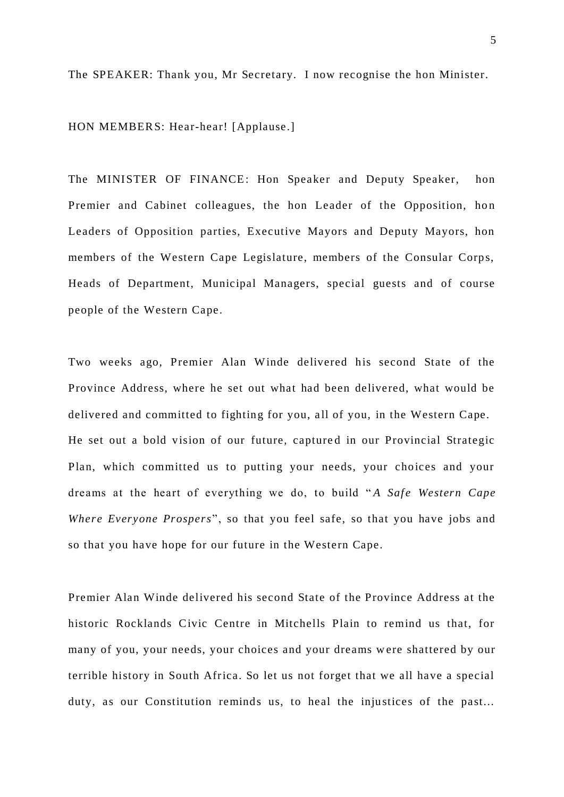The SPEAKER: Thank you, Mr Secretary. I now recognise the hon Minister.

HON MEMBERS: Hear-hear! [Applause.]

The MINISTER OF FINANCE: Hon Speaker and Deputy Speaker, hon Premier and Cabinet colleagues, the hon Leader of the Opposition, hon Leaders of Opposition parties, Executive Mayors and Deputy Mayors, hon members of the Western Cape Legislature, members of the Consular Corps, Heads of Department, Municipal Managers, special guests and of course people of the Western Cape.

Two weeks ago, Premier Alan Winde delivered his second State of the Province Address, where he set out what had been delivered, what would be delivered and committed to fighting for you, all of you, in the Western Cape. He set out a bold vision of our future, captured in our Provincial Strategic Plan, which committed us to putting your needs, your choices and your dreams at the heart of everything we do, to build "A Safe Western Cape *Where Everyone Prospers*", so that you feel safe, so that you have jobs and so that you have hope for our future in the Western Cape.

Premier Alan Winde delivered his second State of the Province Address at the historic Rocklands Civic Centre in Mitchells Plain to remind us that, for many of you, your needs, your choices and your dreams w ere shattered by our terrible history in South Africa. So let us not forget that we all have a special duty, as our Constitution reminds us, to heal the injustices of the past...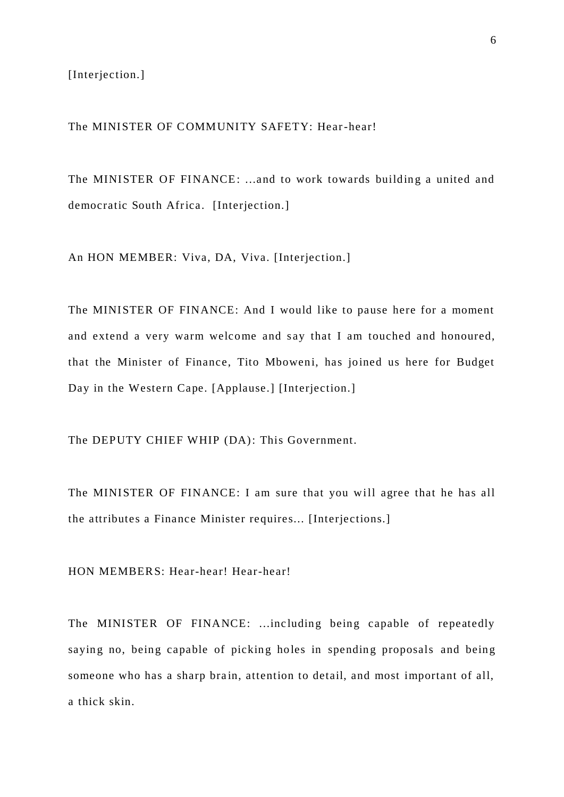[Interjection.]

The MINISTER OF COMMUNITY SAFETY: Hear-hear!

The MINISTER OF FINANCE: ...and to work towards building a united and democratic South Africa. [Interjection.]

An HON MEMBER: Viva, DA, Viva. [Interjection.]

The MINISTER OF FINANCE: And I would like to pause here for a moment and extend a very warm welcome and say that I am touched and honoured, that the Minister of Finance, Tito Mboweni, has joined us here for Budget Day in the Western Cape. [Applause.] [Interjection.]

The DEPUTY CHIEF WHIP (DA): This Government.

The MINISTER OF FINANCE: I am sure that you will agree that he has all the attributes a Finance Minister requires... [Interjections.]

HON MEMBERS: Hear-hear! Hear-hear!

The MINISTER OF FINANCE: ...inc luding being capable of repeatedly saying no, being capable of picking holes in spending proposals and being someone who has a sharp brain, attention to detail, and most important of all, a thick skin.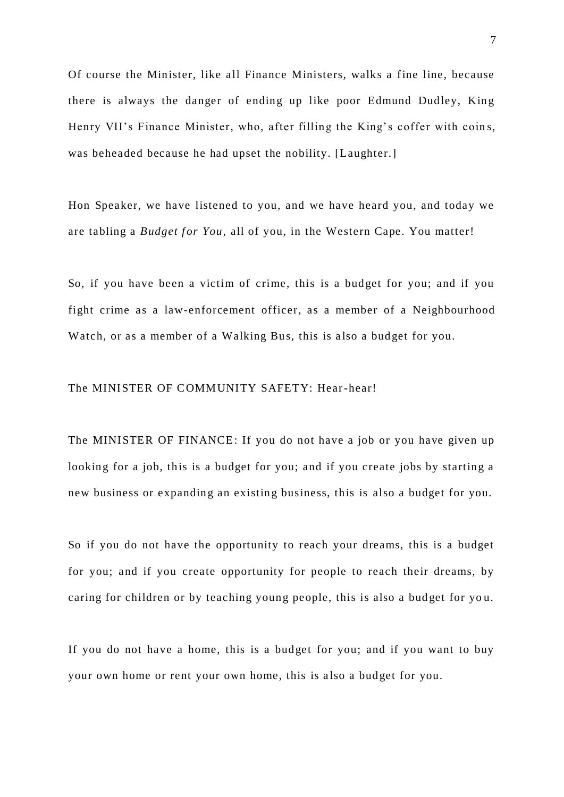Of course the Minister, like all Finance Ministers, walks a fine line, because there is always the danger of ending up like poor Edmund Dudley, King Henry VII's Finance Minister, who, after filling the King's coffer with coin s, was beheaded because he had upset the nobility. [Laughter.]

Hon Speaker, we have listened to you, and we have heard you, and today we are tabling a *Budget for You*, all of you, in the Western Cape. You matter!

So, if you have been a victim of crime, this is a budget for you; and if you fight crime as a law-enforcement officer, as a member of a Neighbourhood Watch, or as a member of a Walking Bus, this is also a budget for you.

# The MINISTER OF COMMUNITY SAFETY: Hear-hear!

The MINISTER OF FINANCE: If you do not have a job or you have given up looking for a job, this is a budget for you; and if you create jobs by starting a new business or expanding an existing business, this is also a budget for you.

So if you do not have the opportunity to reach your dreams, this is a budget for you; and if you create opportunity for people to reach their dreams, by caring for children or by teaching young people, this is also a budget for yo u.

If you do not have a home, this is a budget for you; and if you want to buy your own home or rent your own home, this is also a budget for you.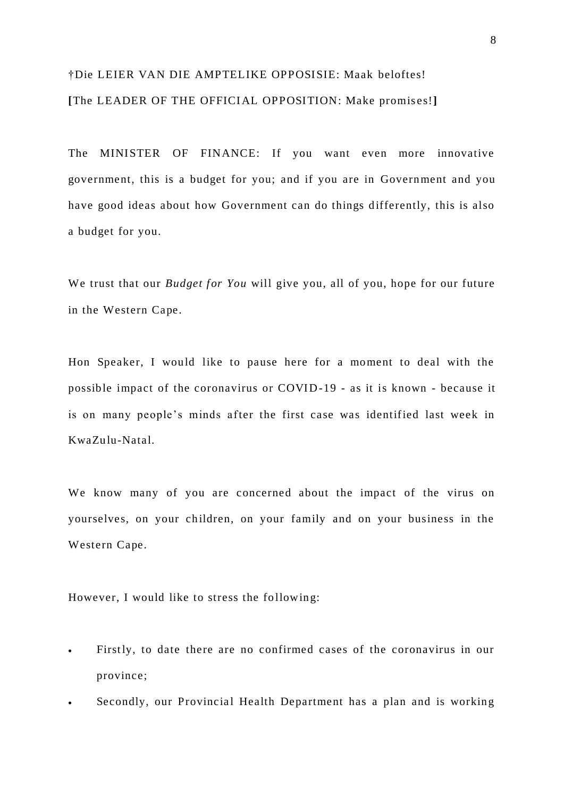# †Die LEIER VAN DIE AMPTELIKE OPPOSISIE: Maak beloftes! [The LEADER OF THE OFFICIAL OPPOSITION: Make promises!]

The MINISTER OF FINANCE: If you want even more innovative government, this is a budget for you; and if you are in Government and you have good ideas about how Government can do things differently, this is also a budget for you.

We trust that our *Budget for You* will give you, all of you, hope for our future in the Western Cape.

Hon Speaker, I would like to pause here for a moment to deal with the possible impact of the coronavirus or COVID-19 - as it is known - because it is on many people's minds after the first case was identified last week in KwaZulu-Natal.

We know many of you are concerned about the impact of the virus on yourselves, on your children, on your family and on your business in the Western Cape.

However, I would like to stress the following:

- Firstly, to date there are no confirmed cases of the coronavirus in our province;
- Secondly, our Provincial Health Department has a plan and is working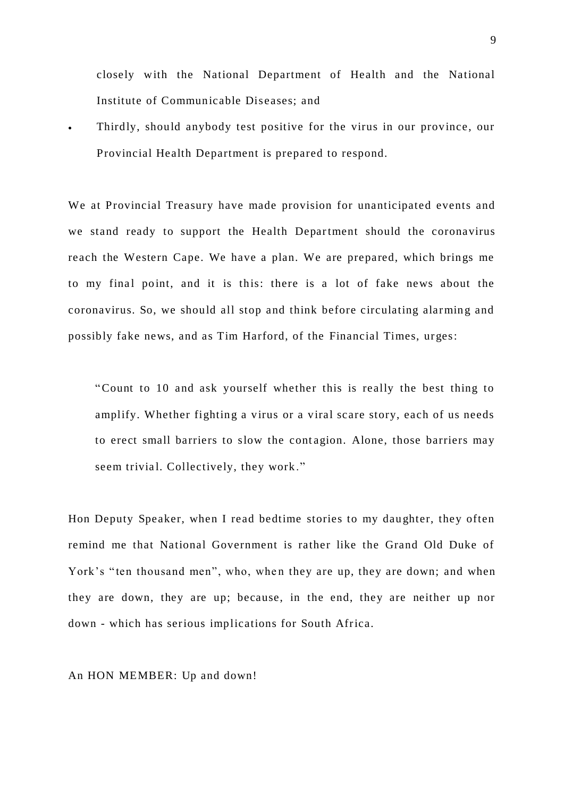closely with the National Department of Health and the National Institute of Communicable Diseases; and

 Thirdly, should anybody test positive for the virus in our province, our Provincial Health Department is prepared to respond.

We at Provincial Treasury have made provision for unanticipated events and we stand ready to support the Health Department should the coronavirus reach the Western Cape. We have a plan. We are prepared, which brings me to my final point, and it is this: there is a lot of fake news about the coronavirus. So, we should all stop and think before circulating alarming and possibly fake news, and as Tim Harford, of the Financial Times, urges:

"Count to 10 and ask yourself whether this is really the best thing to amplify. Whether fighting a virus or a viral scare story, each of us needs to erect small barriers to slow the contagion. Alone, those barriers may seem trivial. Collectively, they work."

Hon Deputy Speaker, when I read bedtime stories to my daughter, they often remind me that National Government is rather like the Grand Old Duke of York's "ten thousand men", who, when they are up, they are down; and when they are down, they are up; because, in the end, they are neither up nor down - which has serious implications for South Africa.

An HON MEMBER: Up and down!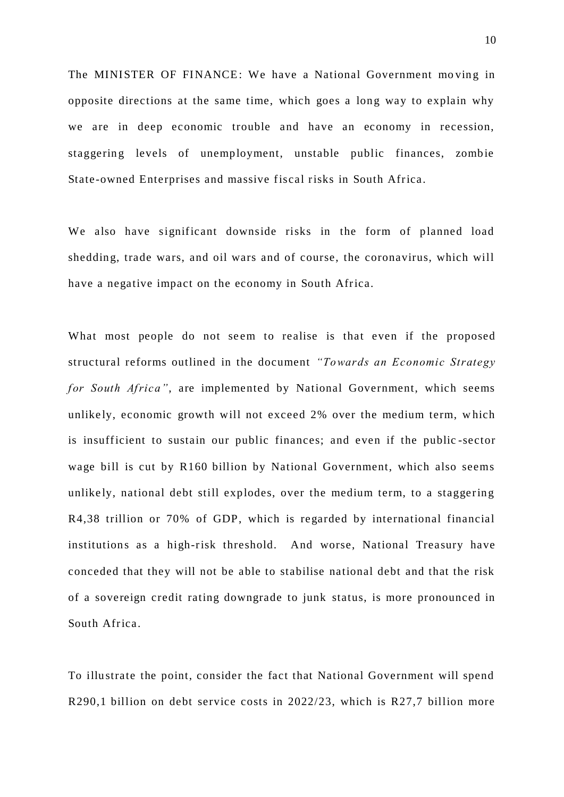The MINISTER OF FINANCE: We have a National Government moving in opposite directions at the same time, which goes a long way to explain why we are in deep economic trouble and have an economy in recession, staggering levels of unemployment, unstable public finances, zombie State-owned Enterprises and massive fiscal risks in South Africa.

We also have significant downside risks in the form of planned load shedding, trade wars, and oil wars and of course, the coronavirus, which will have a negative impact on the economy in South Africa.

What most people do not seem to realise is that even if the proposed structural reforms outlined in the document *"Towards an Economic Strategy for South Africa"*, are implemented by National Government, which seems unlike ly, economic growth will not exceed 2% over the medium term, w hich is insufficient to sustain our public finances; and even if the public -sector wage bill is cut by R160 billion by National Government, which also seems unlike ly, national debt still explodes, over the medium term, to a staggering R4,38 trillion or 70% of GDP, which is regarded by international financial institutions as a high-risk threshold. And worse, National Treasury have conceded that they will not be able to stabilise national debt and that the risk of a sovereign credit rating downgrade to junk status, is more pronounced in South Africa.

To illustrate the point, consider the fact that National Government will spend R290,1 billion on debt service costs in 2022/23, which is R27,7 billion more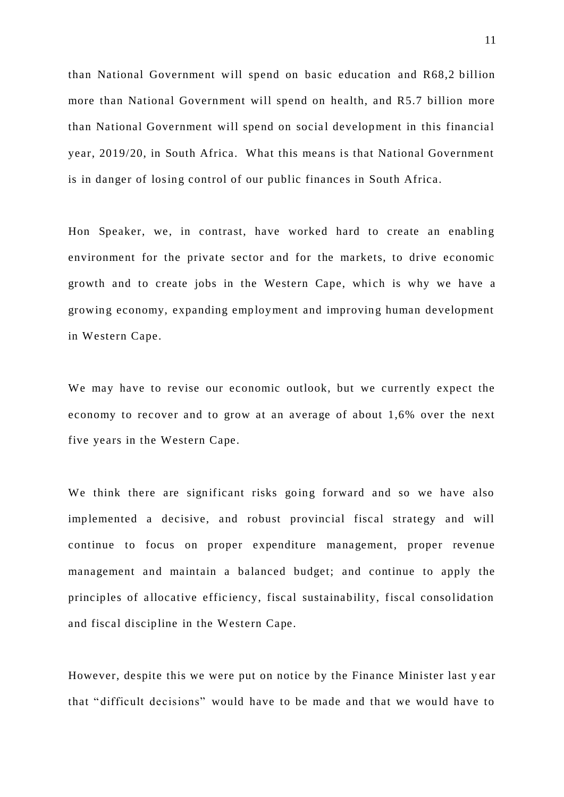than National Government will spend on basic education and R68,2 billion more than National Government will spend on health, and R5.7 billion more than National Government will spend on social development in this financial year, 2019/20, in South Africa. What this means is that National Government is in danger of losing control of our public finances in South Africa.

Hon Speaker, we, in contrast, have worked hard to create an enabling environment for the private sector and for the markets, to drive economic growth and to create jobs in the Western Cape, which is why we have a growing economy, expanding employment and improving human development in Western Cape.

We may have to revise our economic outlook, but we currently expect the economy to recover and to grow at an average of about 1,6% over the next five years in the Western Cape.

We think there are significant risks going forward and so we have also implemented a decisive, and robust provincial fiscal strategy and will continue to focus on proper expenditure management, proper revenue management and maintain a balanced budget; and continue to apply the principles of a llocative effic iency, fiscal sustainability, fiscal consolidation and fiscal discipline in the Western Cape.

However, despite this we were put on notice by the Finance Minister last y ear that " difficult decisions" would have to be made and that we would have to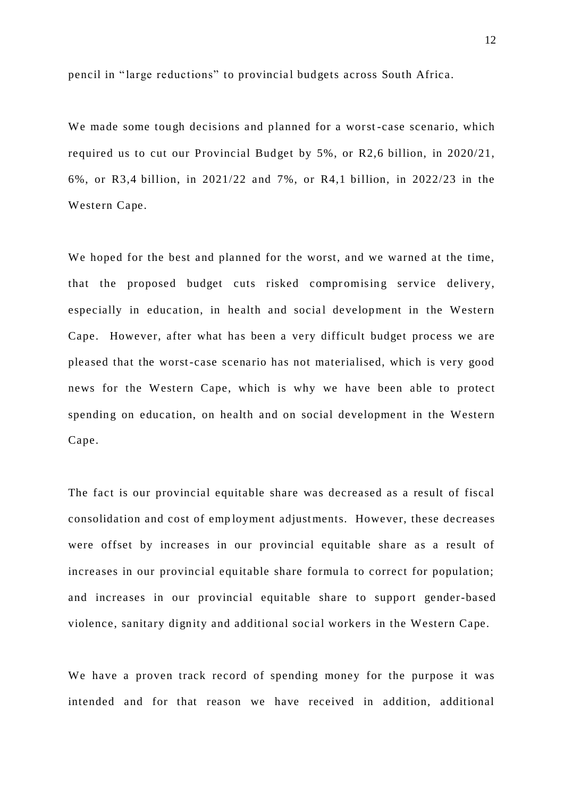pencil in "large reductions" to provincial budgets across South Africa.

We made some tough decisions and planned for a worst-case scenario, which required us to cut our Provincial Budget by 5%, or R2,6 billion, in 2020/21, 6%, or R3,4 billion, in 2021/22 and 7%, or R4,1 billion, in 2022/23 in the Western Cape.

We hoped for the best and planned for the worst, and we warned at the time, that the proposed budget cuts risked compromising service delivery, especially in education, in health and social development in the Western Cape. However, after what has been a very difficult budget process we are pleased that the worst-case scenario has not materialised, which is very good news for the Western Cape, which is why we have been able to protect spending on education, on health and on social development in the Western Cape.

The fact is our provincial equitable share was decreased as a result of fiscal consolidation and cost of emp loyment adjust ments. However, these decreases were offset by increases in our provincial equitable share as a result of increases in our provincial equitable share formula to correct for population; and increases in our provincial equitable share to support gender-based violence, sanitary dignity and additional soc ial workers in the Western Cape.

We have a proven track record of spending money for the purpose it was intended and for that reason we have received in addition, additional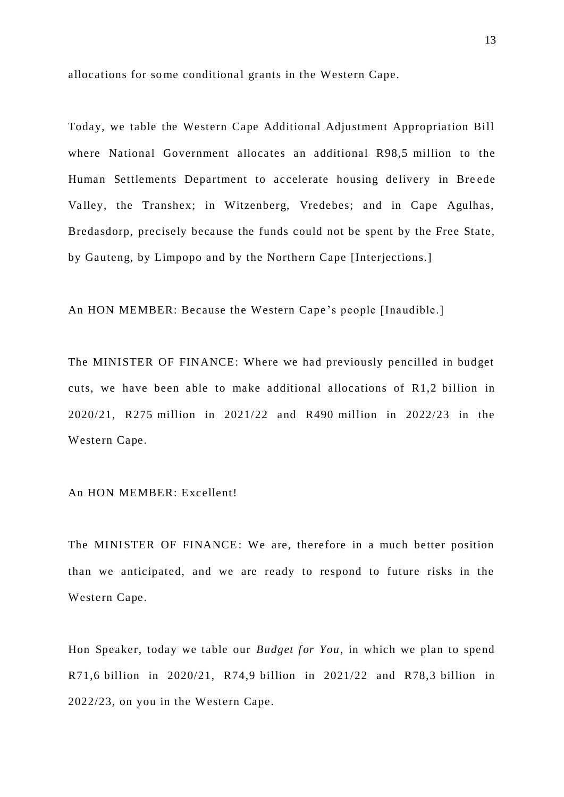allocations for some conditional grants in the Western Cape.

Today, we table the Western Cape Additional Adjustment Appropriation Bill where National Government allocates an additional R98,5 million to the Human Settlements Department to accelerate housing de livery in Bre ede Va lley, the Transhex; in Witzenberg, Vredebes; and in Cape Agulhas, Bredasdorp, precisely because the funds could not be spent by the Free State, by Gauteng, by Limpopo and by the Northern Cape [Interjections.]

An HON MEMBER: Because the Western Cape 's people [Inaudible.]

The MINISTER OF FINANCE: Where we had previously pencilled in budget cuts, we have been able to make additional allocations of R1,2 billion in 2020/21, R275 million in 2021/22 and R490 million in 2022/23 in the Western Cape.

# An HON MEMBER: Excellent!

The MINISTER OF FINANCE: We are, therefore in a much better position than we anticipated, and we are ready to respond to future risks in the Western Cape.

Hon Speaker, today we table our *Budget for You*, in which we plan to spend R71,6 billion in 2020/21, R74,9 billion in 2021/22 and R78,3 billion in 2022/23, on you in the Western Cape.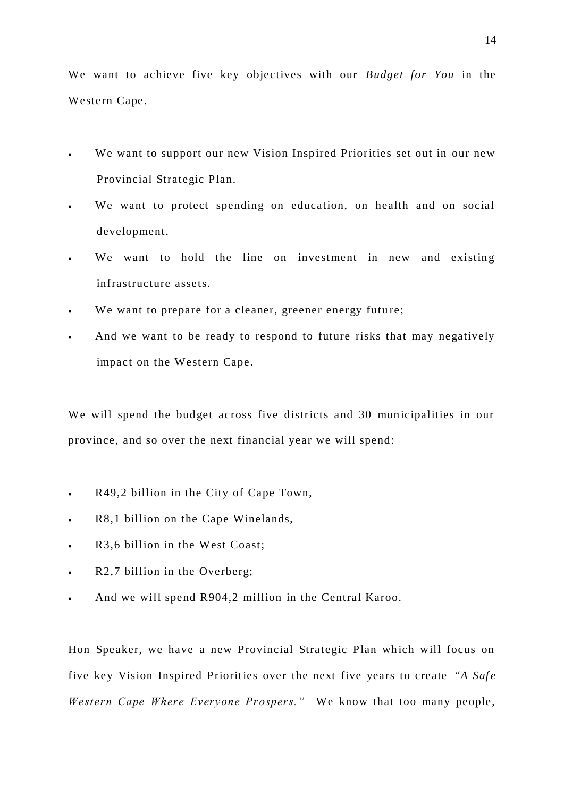We want to achieve five key objectives with our *Budget for You* in the Western Cape.

- We want to support our new Vision Inspired Priorities set out in our new Provincial Strategic Plan.
- We want to protect spending on education, on health and on social development.
- We want to hold the line on investment in new and existing infrastructure assets.
- We want to prepare for a cleaner, greener energy future;
- And we want to be ready to respond to future risks that may negatively impact on the Western Cape.

We will spend the budget across five districts and 30 municipalities in our province, and so over the next financial year we will spend:

- R49,2 billion in the City of Cape Town,
- R8,1 billion on the Cape Winelands,
- R3,6 billion in the West Coast;
- R2,7 billion in the Overberg;
- And we will spend R904,2 million in the Central Karoo.

Hon Speaker, we have a new Provincial Strategic Plan which will focus on five key Vision Inspired Priorities over the next five years to create "A Safe" *Western Cape Where Everyone Prospers."* We know that too many people,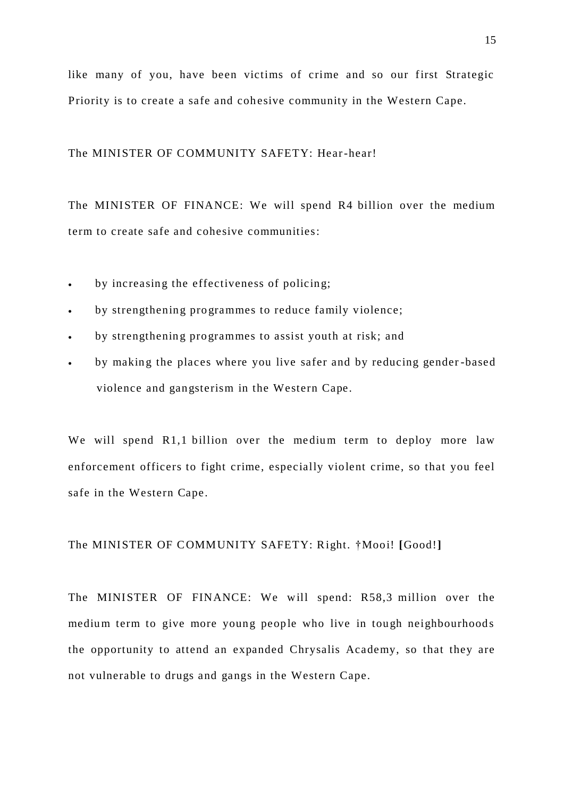like many of you, have been victims of crime and so our first Strategic Priority is to create a safe and coh esive community in the Western Cape.

#### The MINISTER OF COMMUNITY SAFETY: Hear-hear!

The MINISTER OF FINANCE: We will spend R4 billion over the medium term to create safe and cohesive communities:

- by increasing the effectiveness of policing;
- by strengthening programmes to reduce family violence;
- by strengthening programmes to assist youth at risk; and
- by making the places where you live safer and by reducing gender -based violence and gangsterism in the Western Cape.

We will spend R1,1 billion over the medium term to deploy more law enforcement officers to fight crime, especially violent crime, so that you feel safe in the Western Cape.

The MINISTER OF COMMUNITY SAFETY: Right. †Mooi! **[**Good!**]**

The MINISTER OF FINANCE: We will spend: R58,3 million over the medium term to give more young people who live in tough neighbourhoods the opportunity to attend an expanded Chrysalis Academy, so that they are not vulnerable to drugs and gangs in the Western Cape.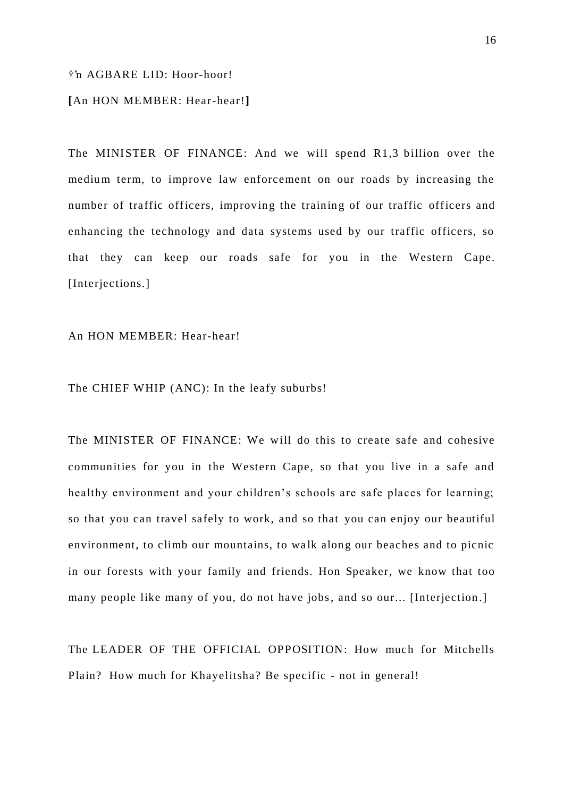#### †'n AGBARE LID: Hoor-hoor!

#### **[**An HON MEMBER: Hear-hear!**]**

The MINISTER OF FINANCE: And we will spend R1,3 billion over the medium term, to improve law enforcement on our roads by increasing the number of traffic officers, improving the training of our traffic officers and enhancing the technology and data systems used by our traffic officers, so that they can keep our roads safe for you in the Western Cape. [Interjections.]

#### An HON MEMBER: Hear-hear!

The CHIEF WHIP (ANC): In the leafy suburbs!

The MINISTER OF FINANCE: We will do this to create safe and cohesive communities for you in the Western Cape, so that you live in a safe and healthy environment and your children's schools are safe places for learning; so that you can travel safely to work, and so that you can enjoy our beautiful environment, to climb our mountains, to wa lk along our beaches and to picnic in our forests with your family and friends. Hon Speaker, we know that too many people like many of you, do not have jobs, and so our... [Interjection.]

The LEADER OF THE OFFICIAL OPPOSITION: How much for Mitchells Plain? How much for Khayelitsha? Be specific - not in general!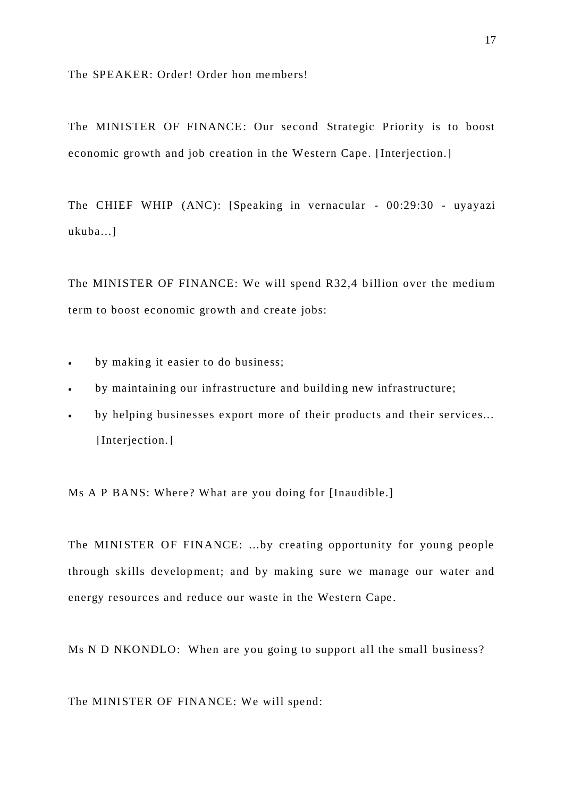The SPEAKER: Order! Order hon me mbers!

The MINISTER OF FINANCE: Our second Strategic Priority is to boost economic growth and job creation in the Western Cape. [Interjection.]

The CHIEF WHIP (ANC): [Speaking in vernacular - 00:29:30 - uyayazi ukuba...]

The MINISTER OF FINANCE: We will spend R32,4 billion over the medium term to boost economic growth and create jobs:

- by making it easier to do business;
- by maintaining our infrastructure and building new infrastructure;
- by helping businesses export more of their products and their services... [Interjection.]

Ms A P BANS: Where? What are you doing for [Inaudible.]

The MINISTER OF FINANCE: ...by creating opportunity for young people through skills development; and by making sure we manage our water and energy resources and reduce our waste in the Western Cape.

Ms N D NKONDLO: When are you going to support all the small business?

The MINISTER OF FINANCE: We will spend: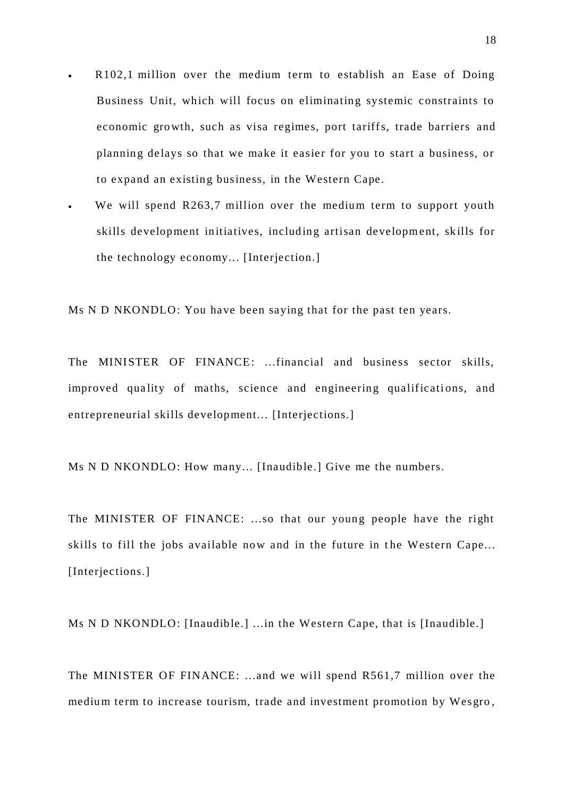- R102,1 million over the medium term to establish an Ease of Doing Business Unit, which will focus on eliminating systemic constraints to economic growth, such as visa regimes, port tariffs, trade barriers and planning de lays so that we make it easier for you to start a business, or to expand an existing business, in the Western Cape.
	- We will spend R263,7 million over the medium term to support youth skills development initiatives, including artisan development, skills for the technology economy... [Interjection.]

Ms N D NKONDLO: You have been saying that for the past ten years.

The MINISTER OF FINANCE: ...financial and business sector skills, improved quality of maths, science and engineering qualifications, and entrepreneurial skills development... [Interjections.]

Ms N D NKONDLO: How many... [Inaudible.] Give me the numbers.

The MINISTER OF FINANCE: ...so that our young people have the right skills to fill the jobs available now and in the future in the Western Cape... [Interjections.]

Ms N D NKONDLO: [Inaudible.] ...in the Western Cape, that is [Inaudible.]

The MINISTER OF FINANCE: ...and we will spend R561,7 million over the medium term to increase tourism, trade and investment promotion by Wesgro ,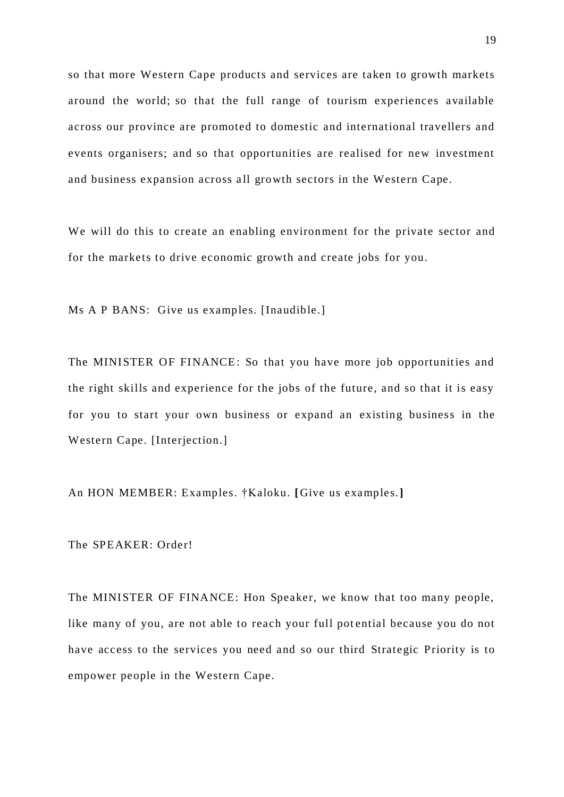so that more Western Cape products and services are taken to growth markets around the world; so that the full range of tourism experiences available across our province are promoted to domestic and international travellers and events organisers; and so that opportunities are realised for new investment and business expansion across all growth sectors in the Western Cape.

We will do this to create an enabling environment for the private sector and for the markets to drive economic growth and create jobs for you.

Ms A P BANS: Give us examples. [Inaudible.]

The MINISTER OF FINANCE: So that you have more job opportunities and the right skills and experience for the jobs of the future, and so that it is easy for you to start your own business or expand an existing business in the Western Cape. [Interjection.]

An HON MEMBER: Examples. †Kaloku. **[**Give us examples.**]**

The SPEAKER: Order!

The MINISTER OF FINANCE: Hon Speaker, we know that too many people, like many of you, are not able to reach your full potential because you do not have access to the services you need and so our third Strategic Priority is to empower people in the Western Cape.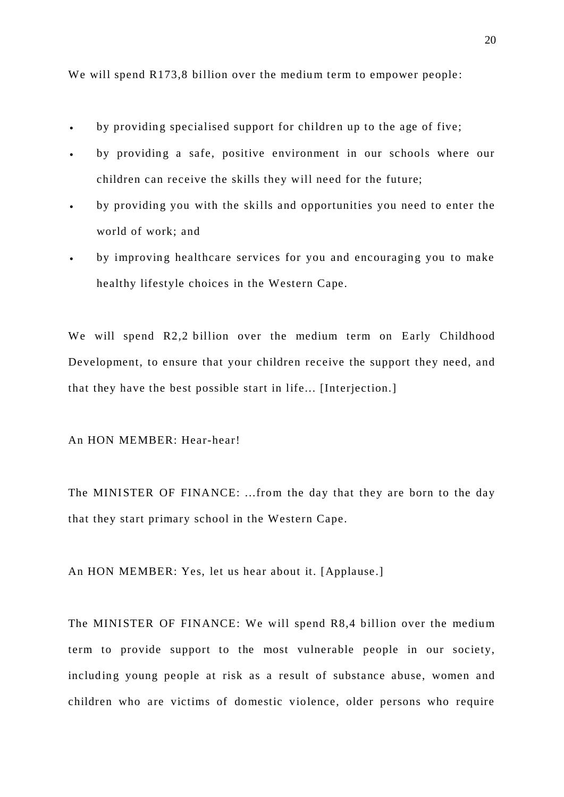We will spend R173,8 billion over the medium term to empower people:

- by providing specialised support for children up to the age of five;
- by providing a safe, positive environment in our schools where our children can receive the skills they will need for the future;
- by providing you with the skills and opportunities you need to enter the world of work; and
- by improving healthcare services for you and encouraging you to make healthy lifestyle choices in the Western Cape.

We will spend R2,2 billion over the medium term on Early Childhood Development, to ensure that your children receive the support they need, and that they have the best possible start in life... [Interjection.]

### An HON MEMBER: Hear-hear!

The MINISTER OF FINANCE: ...from the day that they are born to the day that they start primary school in the Western Cape.

An HON MEMBER: Yes, let us hear about it. [Applause.]

The MINISTER OF FINANCE: We will spend R8,4 billion over the medium term to provide support to the most vulnerable people in our society, including young people at risk as a result of substance abuse, women and children who are victims of domestic violence, older persons who require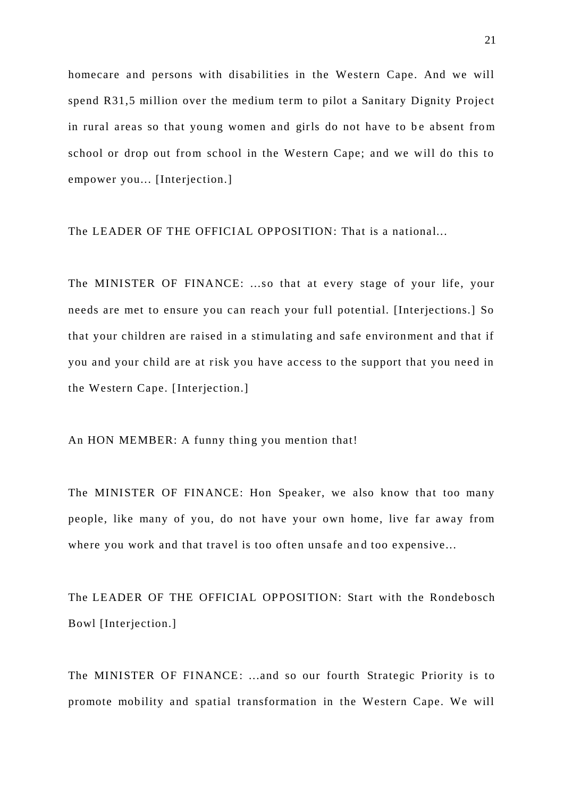homecare and persons with disabilities in the Western Cape. And we will spend R31,5 million over the medium term to pilot a Sanitary Dignity Project in rural areas so that young women and girls do not have to be absent from school or drop out from school in the Western Cape; and we will do this to empower you... [Interjection.]

The LEADER OF THE OFFICIAL OPPOSITION: That is a national...

The MINISTER OF FINANCE: ...so that at every stage of your life, your needs are met to ensure you can reach your full potential. [Interjections.] So that your children are raised in a stimulating and safe environment and that if you and your child are at risk you have access to the support that you need in the Western Cape. [Interjection.]

An HON MEMBER: A funny thing you mention that!

The MINISTER OF FINANCE: Hon Speaker, we also know that too many people, like many of you, do not have your own home, live far away from where you work and that travel is too often unsafe and too expensive...

The LEADER OF THE OFFICIAL OPPOSITION: Start with the Rondebosch Bowl [Interjection.]

The MINISTER OF FINANCE: ...and so our fourth Strategic Priority is to promote mobility and spatial transformation in the Western Cape. We will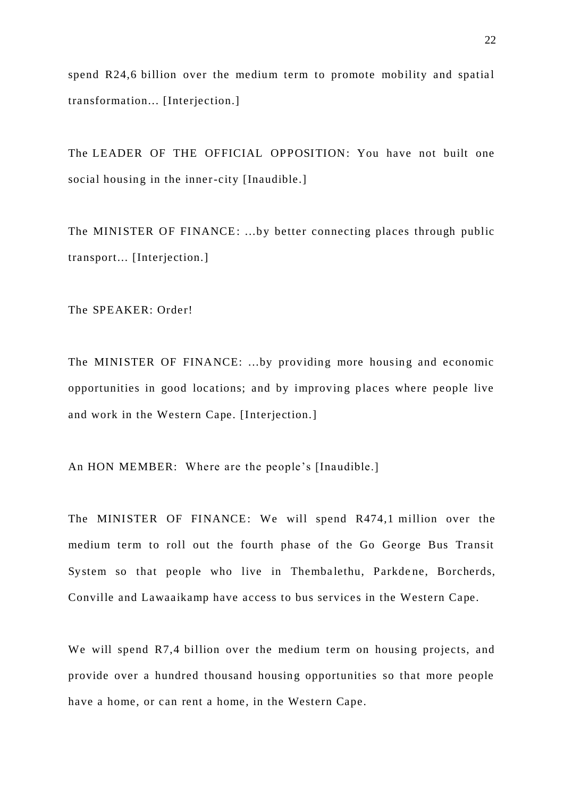spend R24,6 billion over the medium term to promote mobility and spatial transformation... [Interjection.]

The LEADER OF THE OFFICIAL OPPOSITION: You have not built one social housing in the inner-city [Inaudible.]

The MINISTER OF FINANCE: ...by better connecting places through public transport... [Interjection.]

The SPEAKER: Order!

The MINISTER OF FINANCE: ...by providing more housing and economic opportunities in good locations; and by improving places where people live and work in the Western Cape. [Interjection.]

An HON MEMBER: Where are the people's [Inaudible.]

The MINISTER OF FINANCE: We will spend R474,1 million over the medium term to roll out the fourth phase of the Go George Bus Transit System so that people who live in Thembalethu, Parkdene, Borcherds, Conville and Lawaaikamp have access to bus services in the Western Cape.

We will spend R7,4 billion over the medium term on housing projects, and provide over a hundred thousand housing opportunities so that more people have a home, or can rent a home, in the Western Cape.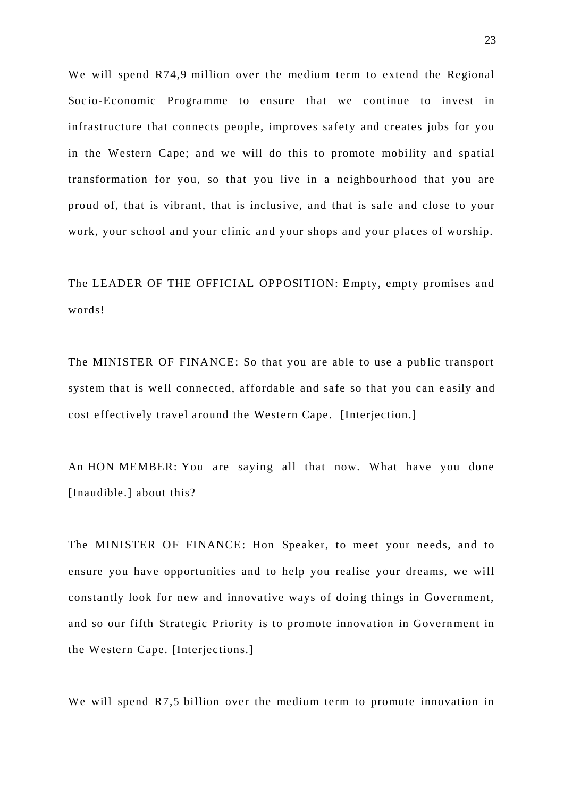We will spend R74,9 million over the medium term to extend the Regional Socio-Economic Programme to ensure that we continue to invest in infrastructure that connects people, improves safety and creates jobs for you in the Western Cape; and we will do this to promote mobility and spatial transformation for you, so that you live in a neighbourhood that you are proud of, that is vibrant, that is inclusive, and that is safe and close to your work, your school and your clinic and your shops and your places of worship.

The LEADER OF THE OFFICIAL OPPOSITION: Empty, empty promises and words!

The MINISTER OF FINANCE: So that you are able to use a public transport system that is well connected, affordable and safe so that you can easily and cost effectively travel around the Western Cape. [Interjection.]

An HON MEMBER: You are saying all that now. What have you done [Inaudible.] about this?

The MINISTER OF FINANCE: Hon Speaker, to meet your needs, and to ensure you have opportunities and to help you realise your dreams, we will constantly look for new and innovative ways of doing things in Government, and so our fifth Strategic Priority is to promote innovation in Government in the Western Cape. [Interjections.]

We will spend R7,5 billion over the medium term to promote innovation in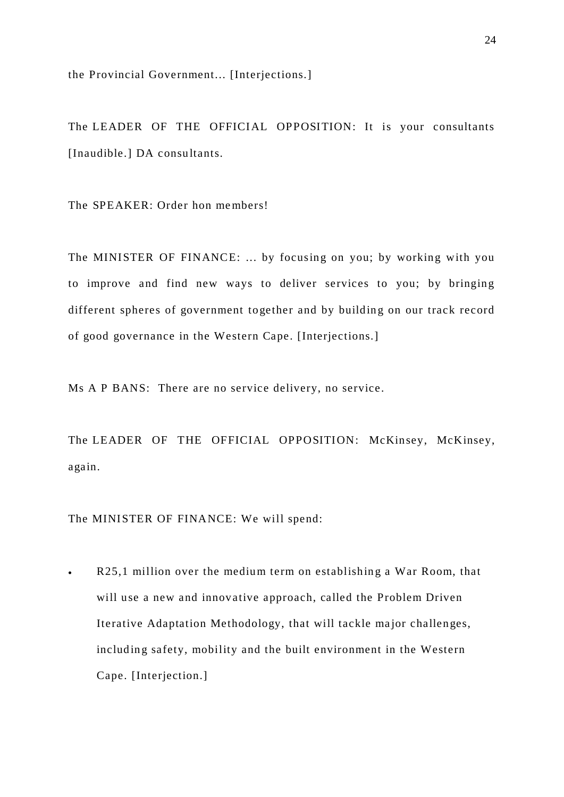the Provincial Government... [Interjections.]

The LEADER OF THE OFFICIAL OPPOSITION: It is your consultants [Inaudible.] DA consultants.

The SPEAKER: Order hon members!

The MINISTER OF FINANCE: ... by focusing on you; by working with you to improve and find new ways to deliver services to you; by bringing different spheres of government together and by building on our track record of good governance in the Western Cape. [Interjections.]

Ms A P BANS: There are no service delivery, no service.

The LEADER OF THE OFFICIAL OPPOSITION: McKinsey, McKinsey, again.

The MINISTER OF FINANCE: We will spend:

 R25,1 million over the medium term on establishing a War Room, that will use a new and innovative approach, called the Problem Driven Iterative Adaptation Methodology, that will tackle major challenges, including safety, mobility and the built environment in the Western Cape. [Interjection.]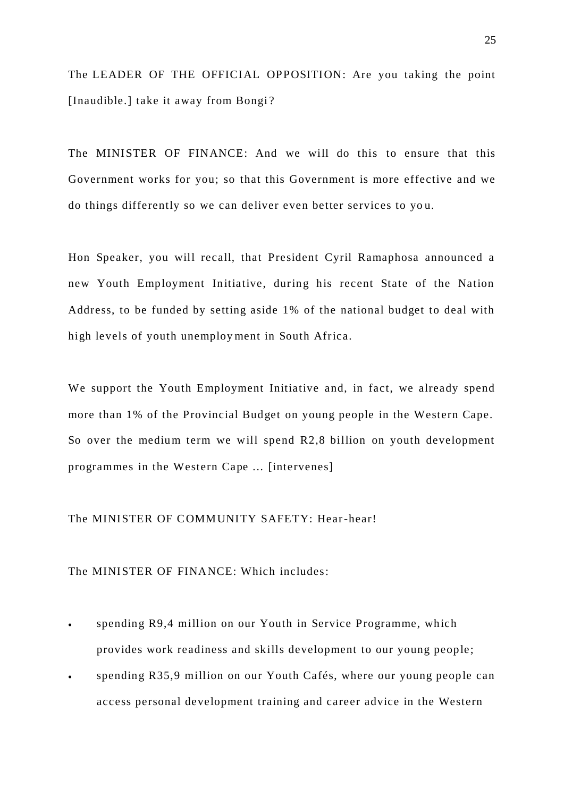The LEADER OF THE OFFICIAL OPPOSITION: Are you taking the point [Inaudible.] take it away from Bongi?

The MINISTER OF FINANCE: And we will do this to ensure that this Government works for you; so that this Government is more effective and we do things differently so we can deliver even better services to yo u.

Hon Speaker, you will recall, that President Cyril Ramaphosa announced a new Youth Employment Initiative, during his recent State of the Nation Address, to be funded by setting aside 1% of the national budget to deal with high levels of youth unemploy ment in South Africa.

We support the Youth Employment Initiative and, in fact, we already spend more than 1% of the Provincial Budget on young people in the Western Cape. So over the medium term we will spend R2,8 billion on youth development programmes in the Western Cape ... [intervenes]

#### The MINISTER OF COMMUNITY SAFETY: Hear-hear!

#### The MINISTER OF FINANCE: Which includes:

- spending R9,4 million on our Youth in Service Programme, which provides work readiness and skills development to our young people;
- spending R35,9 million on our Youth Cafés, where our young people can access personal development training and career advice in the Western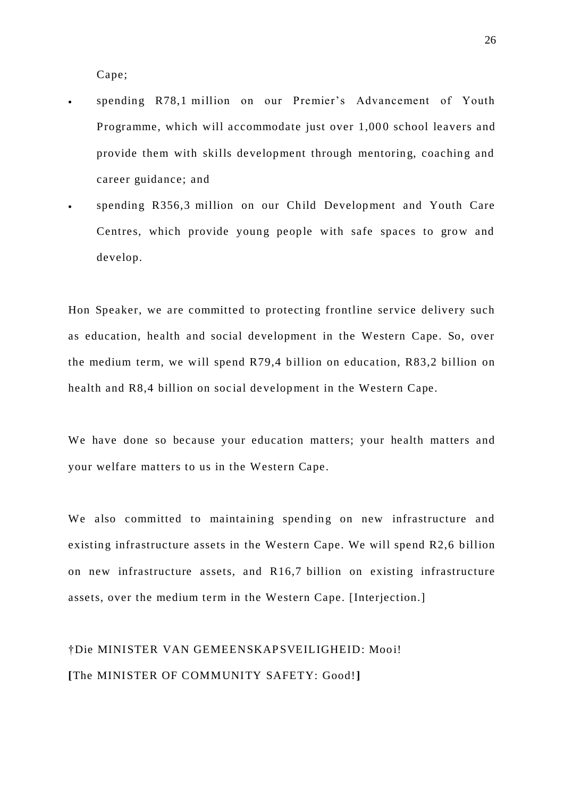Cape;

- spending R78,1 million on our Premier's Advancement of Youth Programme, which will accommodate just over 1,000 school leavers and provide them with skills development through mentoring, coaching and career guidance; and
	- spending R356,3 million on our Child Development and Youth Care Centres, which provide young people with safe spaces to grow and develop.

Hon Speaker, we are committed to protecting frontline service delivery such as education, health and social development in the Western Cape. So, over the medium term, we will spend R79,4 billion on education, R83,2 billion on health and R8,4 billion on social development in the Western Cape.

We have done so because your education matters; your health matters and your welfare matters to us in the Western Cape.

We also committed to maintaining spending on new infrastructure and existing infrastructure assets in the Western Cape. We will spend R2,6 billion on new infrastructure assets, and R16,7 billion on existing infrastructure assets, over the medium term in the Western Cape. [Interjection.]

# †Die MINISTER VAN GEMEENSKAP SVEILIGHEID: Mooi! **[**The MINISTER OF COMMUNITY SAFETY: Good!**]**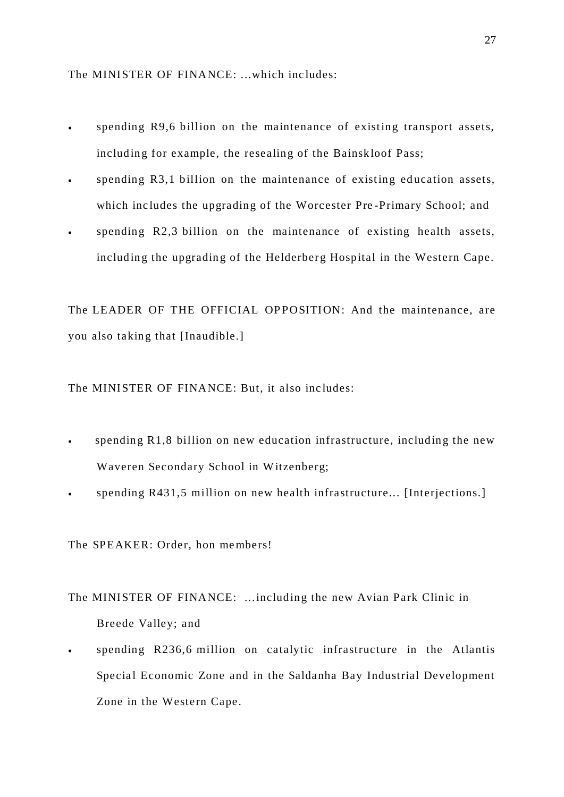The MINISTER OF FINANCE: ...which inc ludes:

- spending R9,6 billion on the maintenance of existing transport assets, including for example, the resealing of the Bainskloof Pass;
- spending R3,1 billion on the maintenance of existing education assets, which includes the upgrading of the Worcester Pre-Primary School; and
- spending R2,3 billion on the maintenance of existing health assets, including the upgrading of the Helderberg Hospital in the Western Cape.

The LEADER OF THE OFFICIAL OPPOSITION: And the maintenance, are you also taking that [Inaudible.]

The MINISTER OF FINANCE: But, it also includes:

- spending R1,8 billion on new education infrastructure, including the new Waveren Secondary School in W itzenberg;
- spending R431,5 million on new health infrastructure... [Interjections.]

The SPEAKER: Order, hon members!

The MINISTER OF FINANCE: ...including the new Avian Park Clinic in Breede Valley; and

 spending R236,6 million on catalytic infrastructure in the Atlantis Special Economic Zone and in the Saldanha Bay Industrial Development Zone in the Western Cape.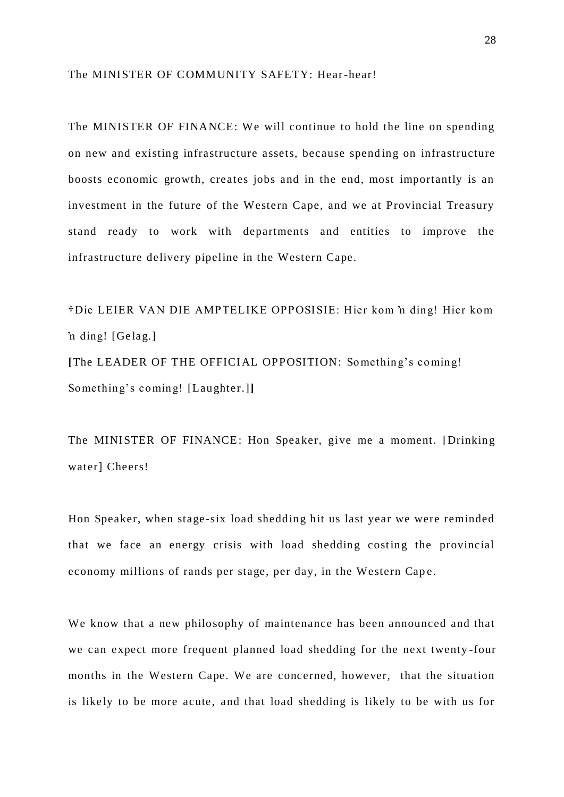#### The MINISTER OF COMMUNITY SAFETY: Hear-hear!

The MINISTER OF FINANCE: We will continue to hold the line on spending on new and existing infrastructure assets, because spend ing on infrastructure boosts economic growth, creates jobs and in the end, most importantly is an investment in the future of the Western Cape, and we at Provincial Treasury stand ready to work with departments and entities to improve the infrastructure de livery pipeline in the Western Cape.

†Die LEIER VAN DIE AMPTELIKE OPPOSISIE: Hier kom 'n ding! Hier kom 'n ding! [Gelag.] **[**The LEADER OF THE OFFICIAL OPPOSITION: Something's coming! Something's coming! [Laughter.]**]**

The MINISTER OF FINANCE: Hon Speaker, give me a moment. [Drinking] water] Cheers!

Hon Speaker, when stage-six load shedding hit us last year we were reminded that we face an energy crisis with load shedding costing the provincial economy millions of rands per stage, per day, in the Western Cape.

We know that a new philosophy of maintenance has been announced and that we can expect more frequent planned load shedding for the next twenty -four months in the Western Cape. We are concerned, however, that the situation is like ly to be more acute, and that load shedding is likely to be with us for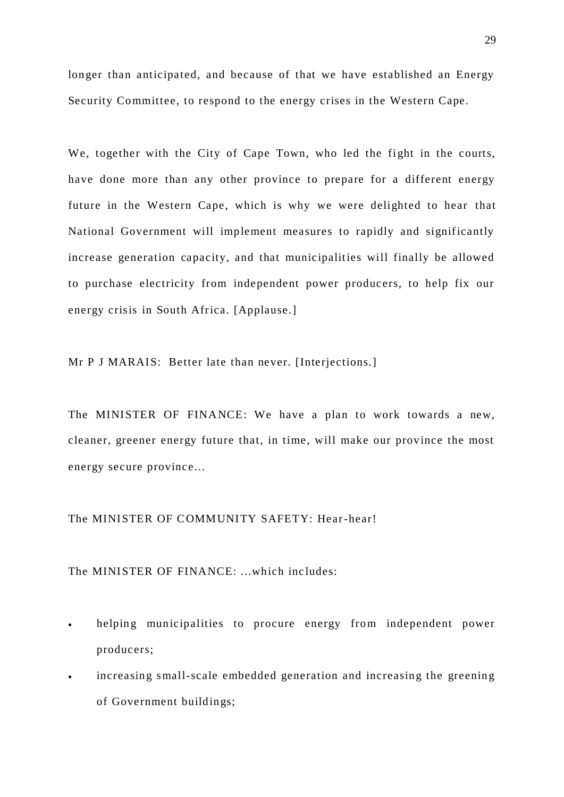longer than anticipated, and because of that we have established an Energy Security Committee, to respond to the energy crises in the Western Cape.

We, together with the City of Cape Town, who led the fight in the courts, have done more than any other province to prepare for a different energy future in the Western Cape, which is why we were delighted to hear that National Government will implement measures to rapidly and significantly increase generation capacity, and that municipalities will finally be allowed to purchase electricity from independent power producers, to help fix our energy crisis in South Africa. [Applause.]

Mr P J MARAIS: Better late than never. [Interjections.]

The MINISTER OF FINANCE: We have a plan to work towards a new, cleaner, greener energy future that, in time, will make our province the most energy secure province...

#### The MINISTER OF COMMUNITY SAFETY: Hear-hear!

The MINISTER OF FINANCE: ...which inc ludes:

- helping municipalities to procure energy from independent power producers;
- increasing small-scale embedded generation and increasing the greening of Government buildings;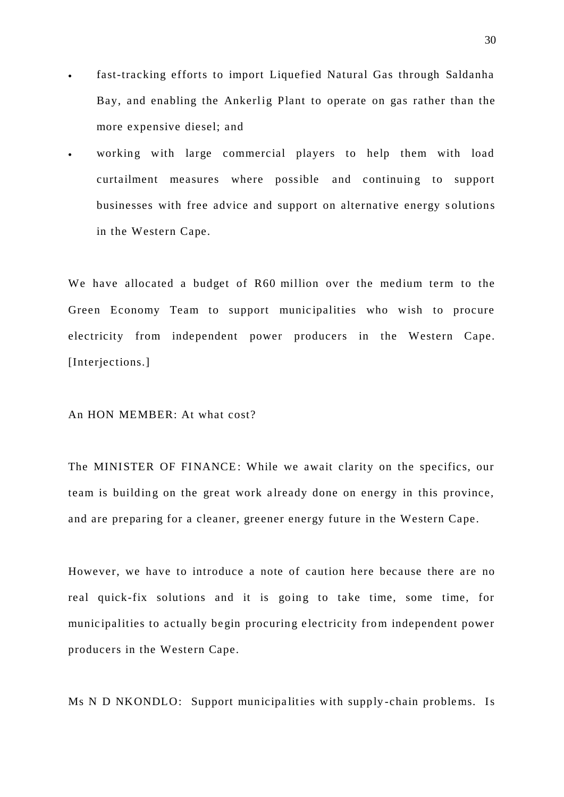- fast-tracking efforts to import Liquefied Natural Gas through Saldanha Bay, and enabling the Ankerlig Plant to operate on gas rather than the more expensive diesel; and
- working with large commercial players to help them with load curtailment measures where possible and continuing to support businesses with free advice and support on alternative energy s olutions in the Western Cape.

We have allocated a budget of R60 million over the medium term to the Green Economy Team to support municipalities who wish to procure electricity from independent power producers in the Western Cape. [Interjections.]

## An HON MEMBER: At what cost?

The MINISTER OF FINANCE: While we await clarity on the specifics, our team is building on the great work a lready done on energy in this province, and are preparing for a cleaner, greener energy future in the Western Cape.

However, we have to introduce a note of caution here because there are no real quick-fix solutions and it is going to take time, some time, for munic ipalities to actually be gin procuring e lectricity from independent power producers in the Western Cape.

Ms N D NKONDLO: Support municipalities with supply-chain problems. Is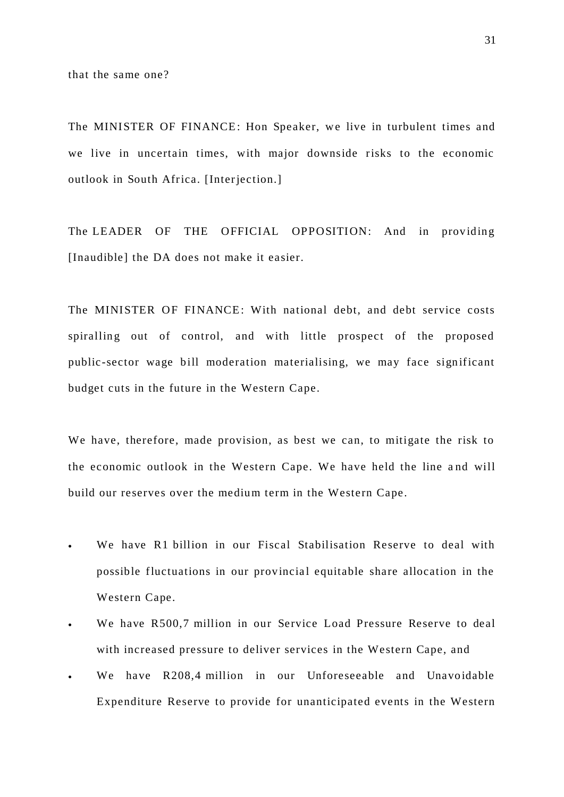The MINISTER OF FINANCE: Hon Speaker, we live in turbulent times and we live in uncertain times, with major downside risks to the economic outlook in South Africa. [Interjection.]

The LEADER OF THE OFFICIAL OPPOSITION: And in providing [Inaudible] the DA does not make it easier.

The MINISTER OF FINANCE: With national debt, and debt service costs spiralling out of control, and with little prospect of the proposed public-sector wage bill moderation materialising, we may face significant budget cuts in the future in the Western Cape.

We have, therefore, made provision, as best we can, to mitigate the risk to the economic outlook in the Western Cape. We have held the line a nd will build our reserves over the medium term in the Western Cape.

- We have R1 billion in our Fiscal Stabilisation Reserve to deal with possible fluctuations in our provincial equitable share allocation in the Western Cape.
- We have R500,7 million in our Service Load Pressure Reserve to deal with increased pressure to deliver services in the Western Cape, and
- We have R208,4 million in our Unforeseeable and Unavoidable Expenditure Reserve to provide for unanticipated events in the Western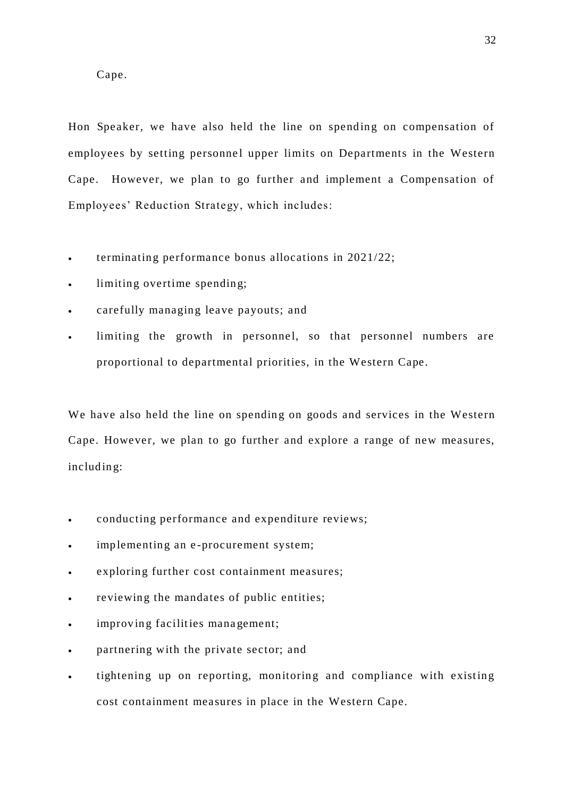Cape.

Hon Speaker, we have also held the line on spending on compensation of employees by setting personnel upper limits on Departments in the Western Cape. However, we plan to go further and implement a Compensation of Employees' Reduction Strategy, which includes:

- terminating performance bonus allocations in 2021/22;
- limiting overtime spending;
- carefully managing leave payouts; and
- limiting the growth in personnel, so that personnel numbers are proportional to departmental priorities, in the Western Cape.

We have also held the line on spending on goods and services in the Western Cape. However, we plan to go further and explore a range of new measures, including:

- conducting performance and expenditure reviews;
- implementing an e -procurement system;
- exploring further cost containment measures;
- reviewing the mandates of public entities;
- improving facilities management;
- partnering with the private sector; and
- tightening up on reporting, monitoring and compliance with existing cost containment measures in place in the Western Cape.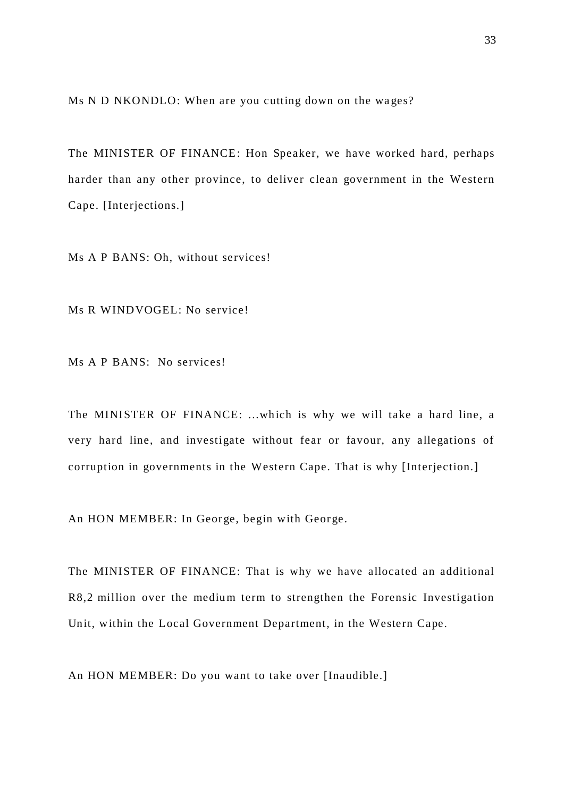Ms N D NKONDLO: When are you cutting down on the wages?

The MINISTER OF FINANCE: Hon Speaker, we have worked hard, perhaps harder than any other province, to deliver clean government in the Western Cape. [Interjections.]

Ms A P BANS: Oh, without services!

Ms R WINDVOGEL: No service!

Ms A P BANS: No services!

The MINISTER OF FINANCE: ...which is why we will take a hard line, a very hard line, and investigate without fear or favour, any allegations of corruption in governments in the Western Cape. That is why [Interjection.]

An HON MEMBER: In George, begin with George.

The MINISTER OF FINANCE: That is why we have allocated an additional R8,2 million over the medium term to strengthen the Forensic Investigation Unit, within the Local Government Department, in the Western Cape.

An HON MEMBER: Do you want to take over [Inaudible.]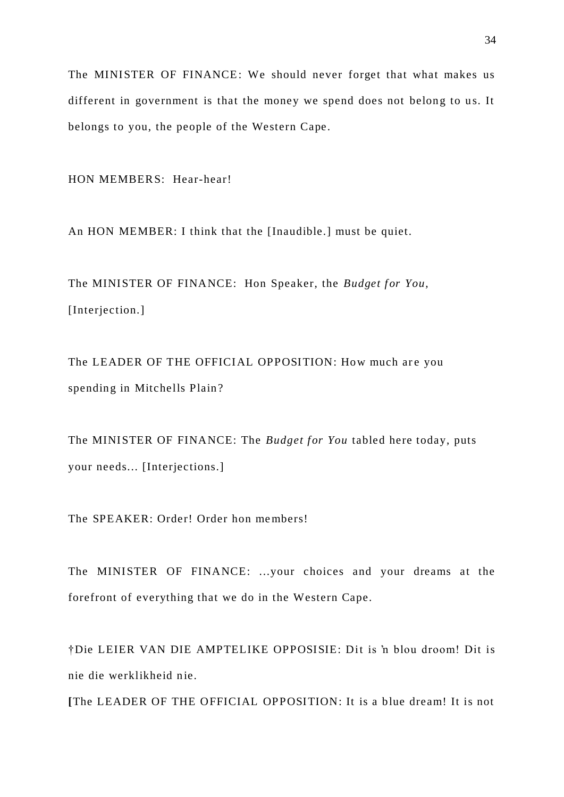The MINISTER OF FINANCE: We should never forget that what makes us different in government is that the money we spend does not belong to us. It belongs to you, the people of the Western Cape.

HON MEMBERS: Hear-hear!

An HON MEMBER: I think that the [Inaudible.] must be quiet.

The MINISTER OF FINANCE: Hon Speaker, the *Budget for You*, [Interjection.]

The LEADER OF THE OFFICIAL OPPOSITION: How much are you spending in Mitchells Plain?

The MINISTER OF FINANCE: The *Budget for You* tabled here today, puts your needs... [Interjections.]

The SPEAKER: Order! Order hon me mbers!

The MINISTER OF FINANCE: ...your choices and your dreams at the forefront of everything that we do in the Western Cape.

†Die LEIER VAN DIE AMPTELIKE OPPOSISIE: Dit is 'n blou droom! Dit is nie die werklikheid nie.

**[**The LEADER OF THE OFFICIAL OPPOSITION: It is a blue dream! It is not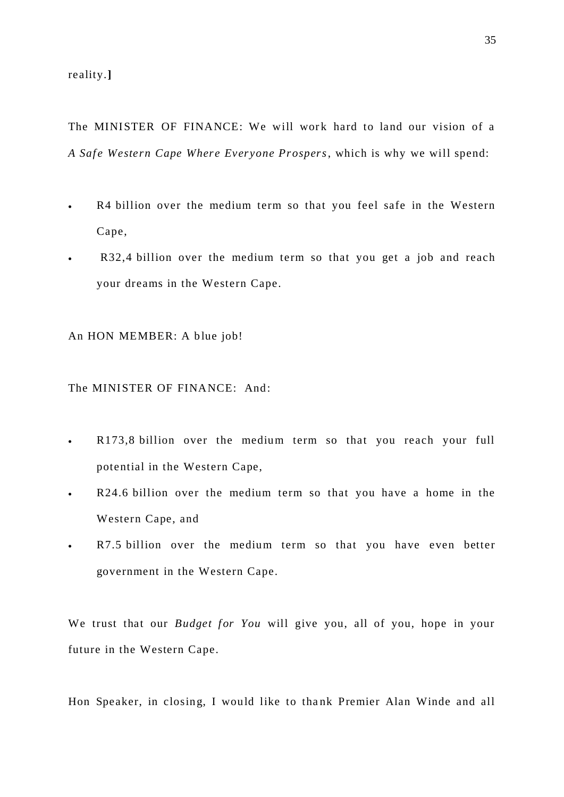### reality.**]**

The MINISTER OF FINANCE: We will work hard to land our vision of a *A* Safe Western Cape Where Everyone Prospers, which is why we will spend:

- R4 billion over the medium term so that you feel safe in the Western Cape,
- R32,4 billion over the medium term so that you get a job and reach your dreams in the Western Cape.

An HON MEMBER: A blue job!

The MINISTER OF FINANCE: And:

- R173,8 billion over the medium term so that you reach your full potential in the Western Cape,
- R24.6 billion over the medium term so that you have a home in the Western Cape, and
- R7.5 billion over the medium term so that you have even better government in the Western Cape.

We trust that our *Budget for You* will give you, all of you, hope in your future in the Western Cape.

Hon Speaker, in closing, I would like to thank Premier Alan Winde and all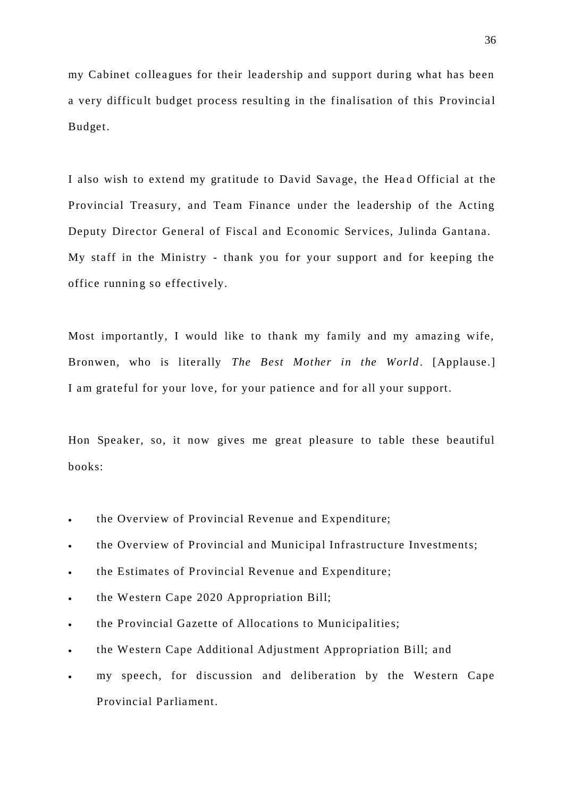my Cabinet collea gues for their leadership and support during what has been a very difficult budget process resulting in the finalisation of this Provincial Budget.

I also wish to extend my gratitude to David Savage, the Head Official at the Provincial Treasury, and Team Finance under the leadership of the Acting Deputy Director General of Fiscal and Economic Services, Julinda Gantana. My staff in the Ministry - thank you for your support and for keeping the office running so effectively.

Most importantly, I would like to thank my family and my amazing wife, Bronwen, who is literally *The Best Mother in the World*. [Applause.] I am grateful for your love, for your patience and for all your support.

Hon Speaker, so, it now gives me great pleasure to table these beautiful books:

- the Overview of Provincial Revenue and Expenditure;
- the Overview of Provincial and Munic ipal Infrastructure Investments;
- the Estimates of Provincial Revenue and Expenditure;
- the Western Cape 2020 Appropriation Bill;
- the Provincial Gazette of Allocations to Municipalities;
- the Western Cape Additional Adjustment Appropriation Bill; and
- my speech, for discussion and deliberation by the Western Cape Provincial Parliament.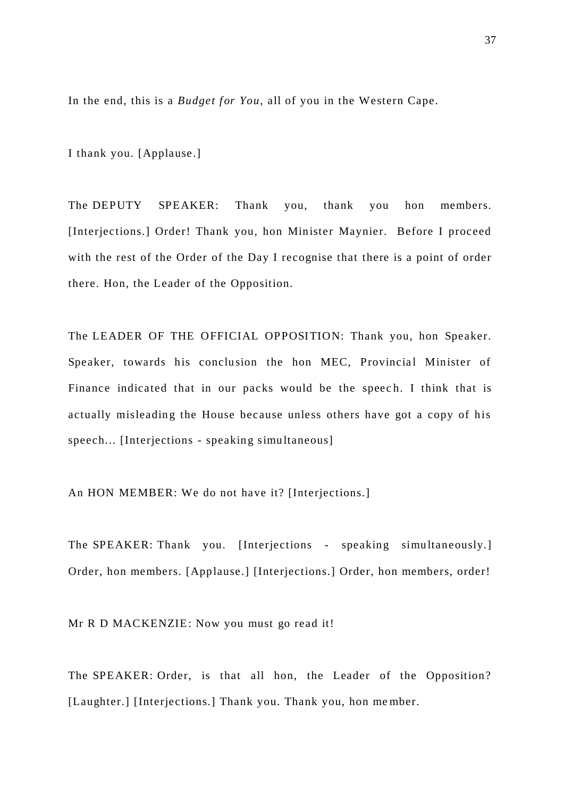In the end, this is a *Budget for You*, all of you in the Western Cape.

I thank you. [Applause.]

The DEPUTY SPEAKER: Thank you, thank you hon members. [Interjections.] Order! Thank you, hon Minister Maynier. Before I proceed with the rest of the Order of the Day I recognise that there is a point of order there. Hon, the Leader of the Opposition.

The LEADER OF THE OFFICIAL OPPOSITION: Thank you, hon Speaker. Speaker, towards his conclusion the hon MEC, Provincial Minister of Finance indicated that in our packs would be the speec h. I think that is actually misleading the House because unless others have got a copy of his speech... [Interjections - speaking simultaneous]

An HON MEMBER: We do not have it? [Interjections.]

The SPEAKER: Thank you. [Interjections - speaking simultaneously.] Order, hon members. [Applause.] [Interjections.] Order, hon members, order!

Mr R D MACKENZIE: Now you must go read it!

The SPEAKER: Order, is that all hon, the Leader of the Opposition? [Laughter.] [Interjections.] Thank you. Thank you, hon member.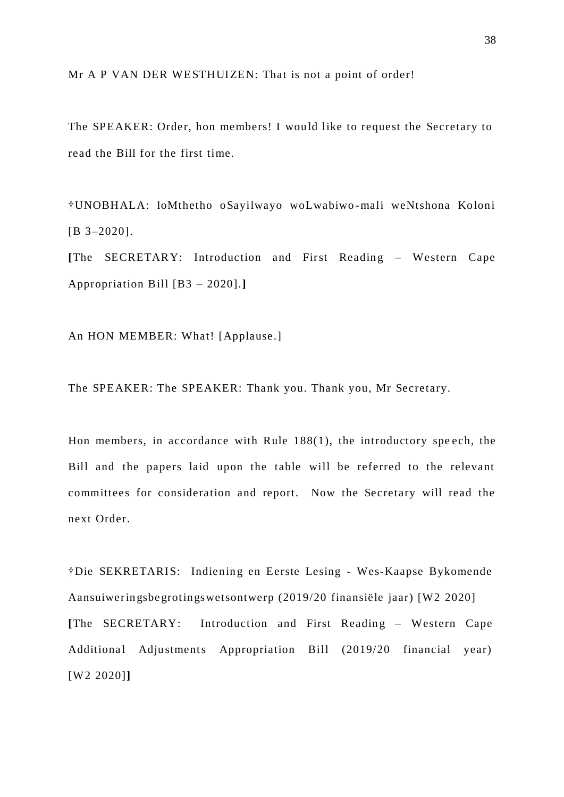Mr A P VAN DER WESTHUIZEN: That is not a point of order!

The SPEAKER: Order, hon members! I would like to request the Secretary to read the Bill for the first time.

†UNOBHALA: loMthetho oSayilwayo woLwabiwo -mali weNtshona Koloni [B 3–2020].

**[**The SECRETARY: Introduction and First Reading – Western Cape Appropriation Bill [B3 – 2020].**]**

An HON MEMBER: What! [Applause.]

The SPEAKER: The SPEAKER: Thank you. Thank you, Mr Secretary.

Hon members, in accordance with Rule 188(1), the introductory spe ech, the Bill and the papers laid upon the table will be referred to the relevant committees for consideration and report. Now the Secretary will read the next Order.

†Die SEKRETARIS: Indiening en Eerste Lesing - Wes-Kaapse Bykomende Aansuiweringsbe grotingswetsontwerp (2019/20 finansiële jaar) [W2 2020] **[**The SECRETARY: Introduction and First Reading – Western Cape Additional Adjustments Appropriation Bill (2019/20 financial year) [W2 2020]**]**